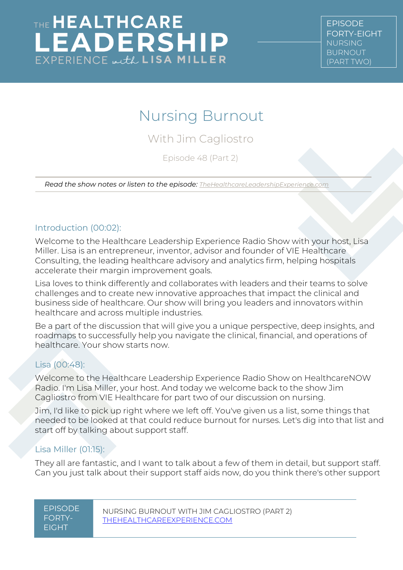# Nursing Burnout

With Jim Cagliostro

Episode 48 (Part 2)

*Read the show notes or listen to the episode: [TheHealthcareLeadershipExperience.com](http://thehealthcareleadershipexperience.com/)*

#### Introduction (00:02):

Welcome to the Healthcare Leadership Experience Radio Show with your host, Lisa Miller. Lisa is an entrepreneur, inventor, advisor and founder of VIE Healthcare Consulting, the leading healthcare advisory and analytics firm, helping hospitals accelerate their margin improvement goals.

Lisa loves to think differently and collaborates with leaders and their teams to solve challenges and to create new innovative approaches that impact the clinical and business side of healthcare. Our show will bring you leaders and innovators within healthcare and across multiple industries.

Be a part of the discussion that will give you a unique perspective, deep insights, and roadmaps to successfully help you navigate the clinical, financial, and operations of healthcare. Your show starts now.

#### Lisa (00:48):

Welcome to the Healthcare Leadership Experience Radio Show on HealthcareNOW Radio. I'm Lisa Miller, your host. And today we welcome back to the show Jim Cagliostro from VIE Healthcare for part two of our discussion on nursing.

Jim, I'd like to pick up right where we left off. You've given us a list, some things that needed to be looked at that could reduce burnout for nurses. Let's dig into that list and start off by talking about support staff.

#### Lisa Miller (01:15):

They all are fantastic, and I want to talk about a few of them in detail, but support staff. Can you just talk about their support staff aids now, do you think there's other support

| <b>FPISODE</b> |
|----------------|
| FORTY-         |
| FIGHT          |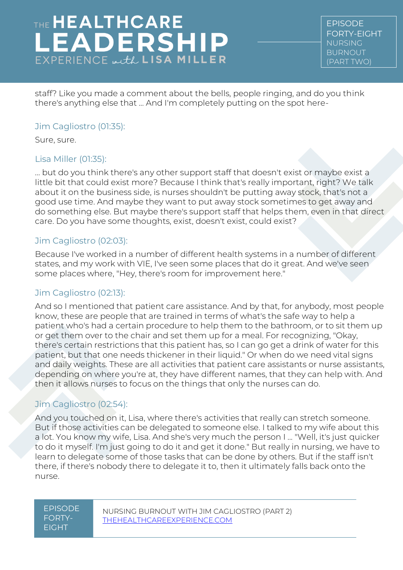EPISODE FORTY-EIGHT NURSING BURNOUT (PART TWO)

staff? Like you made a comment about the bells, people ringing, and do you think there's anything else that ... And I'm completely putting on the spot here-

#### Jim Cagliostro (01:35):

Sure, sure.

#### Lisa Miller (01:35):

... but do you think there's any other support staff that doesn't exist or maybe exist a little bit that could exist more? Because I think that's really important, right? We talk about it on the business side, is nurses shouldn't be putting away stock, that's not a good use time. And maybe they want to put away stock sometimes to get away and do something else. But maybe there's support staff that helps them, even in that direct care. Do you have some thoughts, exist, doesn't exist, could exist?

#### Jim Cagliostro (02:03):

Because I've worked in a number of different health systems in a number of different states, and my work with VIE, I've seen some places that do it great. And we've seen some places where, "Hey, there's room for improvement here."

#### Jim Cagliostro (02:13):

And so I mentioned that patient care assistance. And by that, for anybody, most people know, these are people that are trained in terms of what's the safe way to help a patient who's had a certain procedure to help them to the bathroom, or to sit them up or get them over to the chair and set them up for a meal. For recognizing, "Okay, there's certain restrictions that this patient has, so I can go get a drink of water for this patient, but that one needs thickener in their liquid." Or when do we need vital signs and daily weights. These are all activities that patient care assistants or nurse assistants, depending on where you're at, they have different names, that they can help with. And then it allows nurses to focus on the things that only the nurses can do.

### Jim Cagliostro (02:54):

And you touched on it, Lisa, where there's activities that really can stretch someone. But if those activities can be delegated to someone else. I talked to my wife about this a lot. You know my wife, Lisa. And she's very much the person I ... "Well, it's just quicker to do it myself. I'm just going to do it and get it done." But really in nursing, we have to learn to delegate some of those tasks that can be done by others. But if the staff isn't there, if there's nobody there to delegate it to, then it ultimately falls back onto the nurse.

#### EPISODE FORTY-EIGHT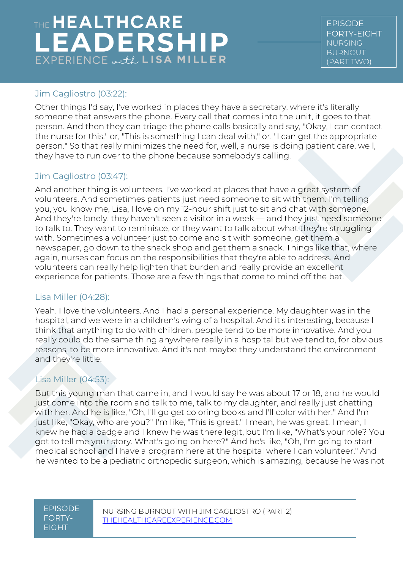EPISODE FORTY-EIGHT NURSING BURNOUT (PART TWO)

### Jim Cagliostro (03:22):

Other things I'd say, I've worked in places they have a secretary, where it's literally someone that answers the phone. Every call that comes into the unit, it goes to that person. And then they can triage the phone calls basically and say, "Okay, I can contact the nurse for this," or, "This is something I can deal with," or, "I can get the appropriate person." So that really minimizes the need for, well, a nurse is doing patient care, well, they have to run over to the phone because somebody's calling.

### Jim Cagliostro (03:47):

And another thing is volunteers. I've worked at places that have a great system of volunteers. And sometimes patients just need someone to sit with them. I'm telling you, you know me, Lisa, I love on my 12-hour shift just to sit and chat with someone. And they're lonely, they haven't seen a visitor in a week — and they just need someone to talk to. They want to reminisce, or they want to talk about what they're struggling with. Sometimes a volunteer just to come and sit with someone, get them a newspaper, go down to the snack shop and get them a snack. Things like that, where again, nurses can focus on the responsibilities that they're able to address. And volunteers can really help lighten that burden and really provide an excellent experience for patients. Those are a few things that come to mind off the bat.

#### Lisa Miller (04:28):

Yeah. I love the volunteers. And I had a personal experience. My daughter was in the hospital, and we were in a children's wing of a hospital. And it's interesting, because I think that anything to do with children, people tend to be more innovative. And you really could do the same thing anywhere really in a hospital but we tend to, for obvious reasons, to be more innovative. And it's not maybe they understand the environment and they're little.

### Lisa Miller (04:53):

But this young man that came in, and I would say he was about 17 or 18, and he would just come into the room and talk to me, talk to my daughter, and really just chatting with her. And he is like, "Oh, I'll go get coloring books and I'll color with her." And I'm just like, "Okay, who are you?" I'm like, "This is great." I mean, he was great. I mean, I knew he had a badge and I knew he was there legit, but I'm like, "What's your role? You got to tell me your story. What's going on here?" And he's like, "Oh, I'm going to start medical school and I have a program here at the hospital where I can volunteer." And he wanted to be a pediatric orthopedic surgeon, which is amazing, because he was not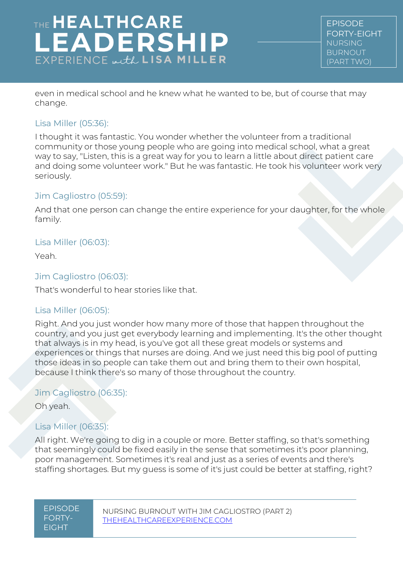# THE HEALTHCARE **EADERSHIP**  $EXPERIENCE \omega, tL$  LISA MILLER

EPISODE FORTY-EIGHT NURSING BURNOUT (PART TWO)

even in medical school and he knew what he wanted to be, but of course that may change.

#### Lisa Miller (05:36):

I thought it was fantastic. You wonder whether the volunteer from a traditional community or those young people who are going into medical school, what a great way to say, "Listen, this is a great way for you to learn a little about direct patient care and doing some volunteer work." But he was fantastic. He took his volunteer work very seriously.

#### Jim Cagliostro (05:59):

And that one person can change the entire experience for your daughter, for the whole family.

#### Lisa Miller (06:03):

Yeah.

#### Jim Cagliostro (06:03):

That's wonderful to hear stories like that.

#### Lisa Miller (06:05):

Right. And you just wonder how many more of those that happen throughout the country, and you just get everybody learning and implementing. It's the other thought that always is in my head, is you've got all these great models or systems and experiences or things that nurses are doing. And we just need this big pool of putting those ideas in so people can take them out and bring them to their own hospital, because I think there's so many of those throughout the country.

#### Jim Cagliostro (06:35):

Oh yeah.

#### Lisa Miller (06:35):

All right. We're going to dig in a couple or more. Better staffing, so that's something that seemingly could be fixed easily in the sense that sometimes it's poor planning, poor management. Sometimes it's real and just as a series of events and there's staffing shortages. But my guess is some of it's just could be better at staffing, right?

| EPISODE |
|---------|
| FORTY-  |
| FIGHT   |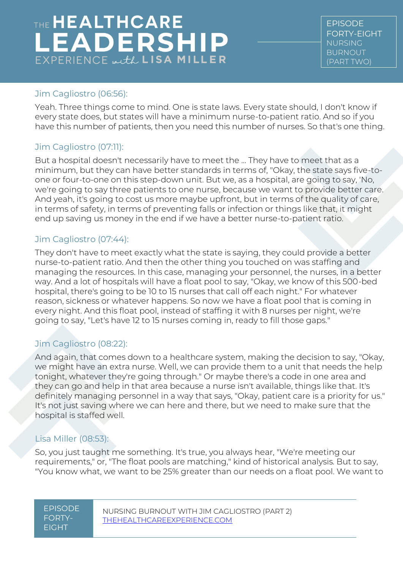EPISODE FORTY-EIGHT NURSING BURNOUT (PART TWO)

#### Jim Cagliostro (06:56):

Yeah. Three things come to mind. One is state laws. Every state should, I don't know if every state does, but states will have a minimum nurse-to-patient ratio. And so if you have this number of patients, then you need this number of nurses. So that's one thing.

### Jim Cagliostro (07:11):

But a hospital doesn't necessarily have to meet the ... They have to meet that as a minimum, but they can have better standards in terms of, "Okay, the state says five-toone or four-to-one on this step-down unit. But we, as a hospital, are going to say, 'No, we're going to say three patients to one nurse, because we want to provide better care. And yeah, it's going to cost us more maybe upfront, but in terms of the quality of care, in terms of safety, in terms of preventing falls or infection or things like that, it might end up saving us money in the end if we have a better nurse-to-patient ratio.

#### Jim Cagliostro (07:44):

They don't have to meet exactly what the state is saying, they could provide a better nurse-to-patient ratio. And then the other thing you touched on was staffing and managing the resources. In this case, managing your personnel, the nurses, in a better way. And a lot of hospitals will have a float pool to say, "Okay, we know of this 500-bed hospital, there's going to be 10 to 15 nurses that call off each night." For whatever reason, sickness or whatever happens. So now we have a float pool that is coming in every night. And this float pool, instead of staffing it with 8 nurses per night, we're going to say, "Let's have 12 to 15 nurses coming in, ready to fill those gaps."

### Jim Cagliostro (08:22):

And again, that comes down to a healthcare system, making the decision to say, "Okay, we might have an extra nurse. Well, we can provide them to a unit that needs the help tonight, whatever they're going through." Or maybe there's a code in one area and they can go and help in that area because a nurse isn't available, things like that. It's definitely managing personnel in a way that says, "Okay, patient care is a priority for us." It's not just saving where we can here and there, but we need to make sure that the hospital is staffed well.

#### Lisa Miller (08:53):

So, you just taught me something. It's true, you always hear, "We're meeting our requirements," or, "The float pools are matching," kind of historical analysis. But to say, "You know what, we want to be 25% greater than our needs on a float pool. We want to

| <u>'EPISODE</u> |
|-----------------|
| FORTY-          |
| <b>FIGHT</b>    |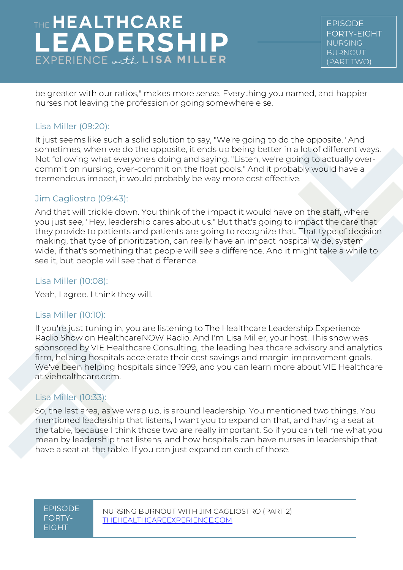EPISODE FORTY-EIGHT NURSING BURNOUT (PART TWO)

be greater with our ratios," makes more sense. Everything you named, and happier nurses not leaving the profession or going somewhere else.

#### Lisa Miller (09:20):

It just seems like such a solid solution to say, "We're going to do the opposite." And sometimes, when we do the opposite, it ends up being better in a lot of different ways. Not following what everyone's doing and saying, "Listen, we're going to actually overcommit on nursing, over-commit on the float pools." And it probably would have a tremendous impact, it would probably be way more cost effective.

#### Jim Cagliostro (09:43):

And that will trickle down. You think of the impact it would have on the staff, where you just see, "Hey, leadership cares about us." But that's going to impact the care that they provide to patients and patients are going to recognize that. That type of decision making, that type of prioritization, can really have an impact hospital wide, system wide, if that's something that people will see a difference. And it might take a while to see it, but people will see that difference.

#### Lisa Miller (10:08):

Yeah, I agree. I think they will.

#### Lisa Miller (10:10):

If you're just tuning in, you are listening to The Healthcare Leadership Experience Radio Show on HealthcareNOW Radio. And I'm Lisa Miller, your host. This show was sponsored by VIE Healthcare Consulting, the leading healthcare advisory and analytics firm, helping hospitals accelerate their cost savings and margin improvement goals. We've been helping hospitals since 1999, and you can learn more about VIE Healthcare at viehealthcare.com.

#### Lisa Miller (10:33):

So, the last area, as we wrap up, is around leadership. You mentioned two things. You mentioned leadership that listens, I want you to expand on that, and having a seat at the table, because I think those two are really important. So if you can tell me what you mean by leadership that listens, and how hospitals can have nurses in leadership that have a seat at the table. If you can just expand on each of those.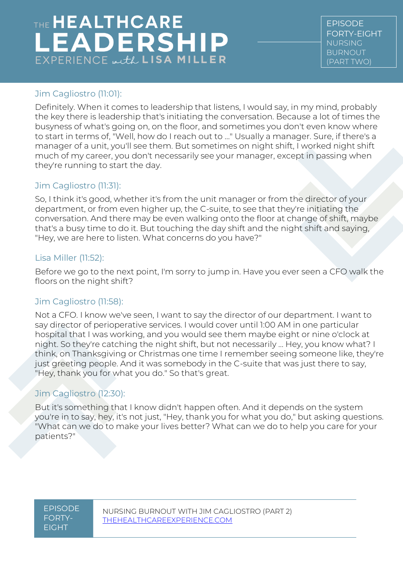EPISODE FORTY-EIGHT NURSING BURNOUT (PART TWO)

### Jim Cagliostro (11:01):

Definitely. When it comes to leadership that listens, I would say, in my mind, probably the key there is leadership that's initiating the conversation. Because a lot of times the busyness of what's going on, on the floor, and sometimes you don't even know where to start in terms of, "Well, how do I reach out to ..." Usually a manager. Sure, if there's a manager of a unit, you'll see them. But sometimes on night shift, I worked night shift much of my career, you don't necessarily see your manager, except in passing when they're running to start the day.

### Jim Cagliostro (11:31):

So, I think it's good, whether it's from the unit manager or from the director of your department, or from even higher up, the C-suite, to see that they're initiating the conversation. And there may be even walking onto the floor at change of shift, maybe that's a busy time to do it. But touching the day shift and the night shift and saying, "Hey, we are here to listen. What concerns do you have?"

#### Lisa Miller (11:52):

Before we go to the next point, I'm sorry to jump in. Have you ever seen a CFO walk the floors on the night shift?

#### Jim Cagliostro (11:58):

Not a CFO. I know we've seen, I want to say the director of our department. I want to say director of perioperative services. I would cover until 1:00 AM in one particular hospital that I was working, and you would see them maybe eight or nine o'clock at night. So they're catching the night shift, but not necessarily ... Hey, you know what? I think, on Thanksgiving or Christmas one time I remember seeing someone like, they're just greeting people. And it was somebody in the C-suite that was just there to say, "Hey, thank you for what you do." So that's great.

#### Jim Cagliostro (12:30):

But it's something that I know didn't happen often. And it depends on the system you're in to say, hey, it's not just, "Hey, thank you for what you do," but asking questions. "What can we do to make your lives better? What can we do to help you care for your patients?"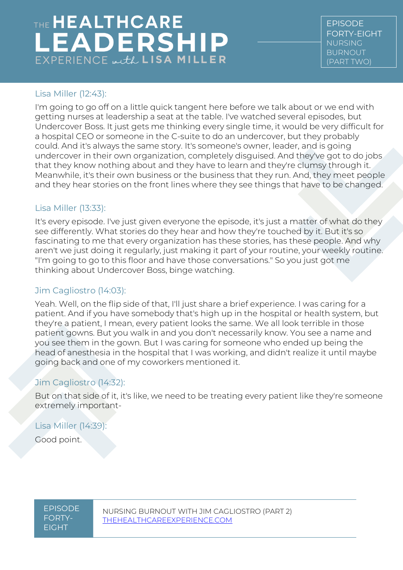# THE HEALTHCARE **LEADERSHIP**  $EXPERIENCE \omega, tL$  LISA MILLER

EPISODE FORTY-EIGHT NURSING BURNOUT (PART TWO)

#### Lisa Miller (12:43):

I'm going to go off on a little quick tangent here before we talk about or we end with getting nurses at leadership a seat at the table. I've watched several episodes, but Undercover Boss. It just gets me thinking every single time, it would be very difficult for a hospital CEO or someone in the C-suite to do an undercover, but they probably could. And it's always the same story. It's someone's owner, leader, and is going undercover in their own organization, completely disguised. And they've got to do jobs that they know nothing about and they have to learn and they're clumsy through it. Meanwhile, it's their own business or the business that they run. And, they meet people and they hear stories on the front lines where they see things that have to be changed.

#### Lisa Miller (13:33):

It's every episode. I've just given everyone the episode, it's just a matter of what do they see differently. What stories do they hear and how they're touched by it. But it's so fascinating to me that every organization has these stories, has these people. And why aren't we just doing it regularly, just making it part of your routine, your weekly routine. "I'm going to go to this floor and have those conversations." So you just got me thinking about Undercover Boss, binge watching.

#### Jim Cagliostro (14:03):

Yeah. Well, on the flip side of that, I'll just share a brief experience. I was caring for a patient. And if you have somebody that's high up in the hospital or health system, but they're a patient, I mean, every patient looks the same. We all look terrible in those patient gowns. But you walk in and you don't necessarily know. You see a name and you see them in the gown. But I was caring for someone who ended up being the head of anesthesia in the hospital that I was working, and didn't realize it until maybe going back and one of my coworkers mentioned it.

#### Jim Cagliostro (14:32):

But on that side of it, it's like, we need to be treating every patient like they're someone extremely important-

#### Lisa Miller (14:39):

Good point.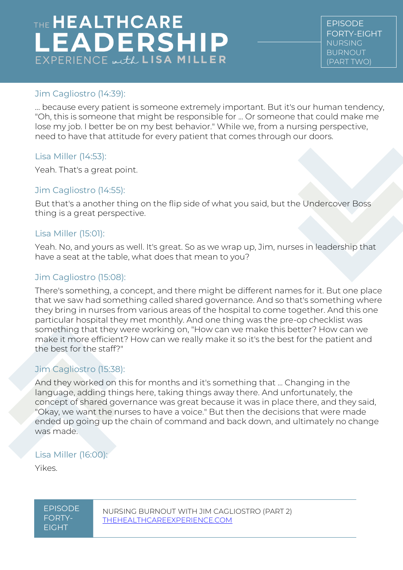EPISODE FORTY-EIGHT NURSING BURNOUT (PART TWO)

#### Jim Cagliostro (14:39):

... because every patient is someone extremely important. But it's our human tendency, "Oh, this is someone that might be responsible for ... Or someone that could make me lose my job. I better be on my best behavior." While we, from a nursing perspective, need to have that attitude for every patient that comes through our doors.

#### Lisa Miller (14:53):

Yeah. That's a great point.

#### Jim Cagliostro (14:55):

But that's a another thing on the flip side of what you said, but the Undercover Boss thing is a great perspective.

#### Lisa Miller (15:01):

Yeah. No, and yours as well. It's great. So as we wrap up, Jim, nurses in leadership that have a seat at the table, what does that mean to you?

#### Jim Cagliostro (15:08):

There's something, a concept, and there might be different names for it. But one place that we saw had something called shared governance. And so that's something where they bring in nurses from various areas of the hospital to come together. And this one particular hospital they met monthly. And one thing was the pre-op checklist was something that they were working on, "How can we make this better? How can we make it more efficient? How can we really make it so it's the best for the patient and the best for the staff?"

#### Jim Cagliostro (15:38):

And they worked on this for months and it's something that ... Changing in the language, adding things here, taking things away there. And unfortunately, the concept of shared governance was great because it was in place there, and they said, "Okay, we want the nurses to have a voice." But then the decisions that were made ended up going up the chain of command and back down, and ultimately no change was made.

#### Lisa Miller (16:00):

Yikes.

EPISODE FORTY-EIGHT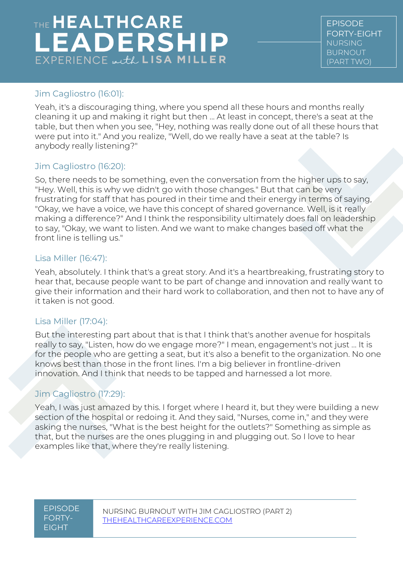EPISODE FORTY-EIGHT NURSING BURNOUT (PART TWO)

#### Jim Cagliostro (16:01):

Yeah, it's a discouraging thing, where you spend all these hours and months really cleaning it up and making it right but then ... At least in concept, there's a seat at the table, but then when you see, "Hey, nothing was really done out of all these hours that were put into it." And you realize, "Well, do we really have a seat at the table? Is anybody really listening?"

### Jim Cagliostro (16:20):

So, there needs to be something, even the conversation from the higher ups to say, "Hey. Well, this is why we didn't go with those changes." But that can be very frustrating for staff that has poured in their time and their energy in terms of saying, "Okay, we have a voice, we have this concept of shared governance. Well, is it really making a difference?" And I think the responsibility ultimately does fall on leadership to say, "Okay, we want to listen. And we want to make changes based off what the front line is telling us."

#### Lisa Miller (16:47):

Yeah, absolutely. I think that's a great story. And it's a heartbreaking, frustrating story to hear that, because people want to be part of change and innovation and really want to give their information and their hard work to collaboration, and then not to have any of it taken is not good.

#### Lisa Miller (17:04):

But the interesting part about that is that I think that's another avenue for hospitals really to say, "Listen, how do we engage more?" I mean, engagement's not just ... It is for the people who are getting a seat, but it's also a benefit to the organization. No one knows best than those in the front lines. I'm a big believer in frontline-driven innovation. And I think that needs to be tapped and harnessed a lot more.

### Jim Cagliostro (17:29):

Yeah, I was just amazed by this. I forget where I heard it, but they were building a new section of the hospital or redoing it. And they said, "Nurses, come in," and they were asking the nurses, "What is the best height for the outlets?" Something as simple as that, but the nurses are the ones plugging in and plugging out. So I love to hear examples like that, where they're really listening.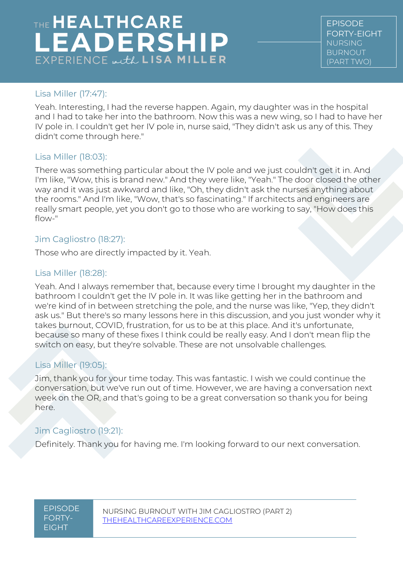# THE HEALTHCARE **LEADERSHIP**  $EXPERIENCE \omega, tL$  LISA MILLER

EPISODE FORTY-EIGHT NURSING BURNOUT (PART TWO)

#### Lisa Miller (17:47):

Yeah. Interesting, I had the reverse happen. Again, my daughter was in the hospital and I had to take her into the bathroom. Now this was a new wing, so I had to have her IV pole in. I couldn't get her IV pole in, nurse said, "They didn't ask us any of this. They didn't come through here."

#### Lisa Miller (18:03):

There was something particular about the IV pole and we just couldn't get it in. And I'm like, "Wow, this is brand new." And they were like, "Yeah." The door closed the other way and it was just awkward and like, "Oh, they didn't ask the nurses anything about the rooms." And I'm like, "Wow, that's so fascinating." If architects and engineers are really smart people, yet you don't go to those who are working to say, "How does this flow-"

#### Jim Cagliostro (18:27):

Those who are directly impacted by it. Yeah.

#### Lisa Miller (18:28):

Yeah. And I always remember that, because every time I brought my daughter in the bathroom I couldn't get the IV pole in. It was like getting her in the bathroom and we're kind of in between stretching the pole, and the nurse was like, "Yep, they didn't ask us." But there's so many lessons here in this discussion, and you just wonder why it takes burnout, COVID, frustration, for us to be at this place. And it's unfortunate, because so many of these fixes I think could be really easy. And I don't mean flip the switch on easy, but they're solvable. These are not unsolvable challenges.

#### Lisa Miller (19:05):

Jim, thank you for your time today. This was fantastic. I wish we could continue the conversation, but we've run out of time. However, we are having a conversation next week on the OR, and that's going to be a great conversation so thank you for being here.

#### Jim Cagliostro (19:21):

Definitely. Thank you for having me. I'm looking forward to our next conversation.

EPISODE FORTY-EIGHT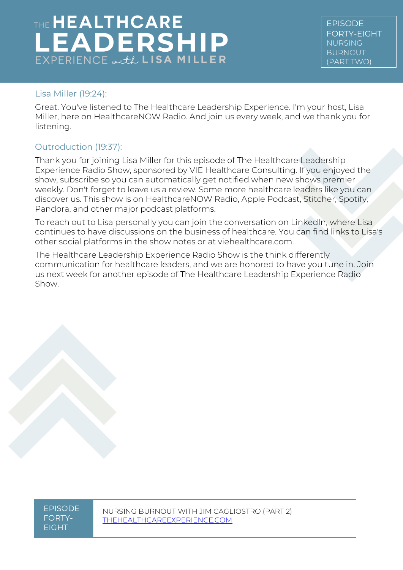# THE HEALTHCARE **LEADERSHIP**  $EXPERIENCE \omega, tL$  LISA MILLER

EPISODE FORTY-EIGHT NURSING BURNOUT (PART TWO)

#### Lisa Miller (19:24):

Great. You've listened to The Healthcare Leadership Experience. I'm your host, Lisa Miller, here on HealthcareNOW Radio. And join us every week, and we thank you for listening.

### Outroduction (19:37):

Thank you for joining Lisa Miller for this episode of The Healthcare Leadership Experience Radio Show, sponsored by VIE Healthcare Consulting. If you enjoyed the show, subscribe so you can automatically get notified when new shows premier weekly. Don't forget to leave us a review. Some more healthcare leaders like you can discover us. This show is on HealthcareNOW Radio, Apple Podcast, Stitcher, Spotify, Pandora, and other major podcast platforms.

To reach out to Lisa personally you can join the conversation on LinkedIn, where Lisa continues to have discussions on the business of healthcare. You can find links to Lisa's other social platforms in the show notes or at viehealthcare.com.

The Healthcare Leadership Experience Radio Show is the think differently communication for healthcare leaders, and we are honored to have you tune in. Join us next week for another episode of The Healthcare Leadership Experience Radio Show.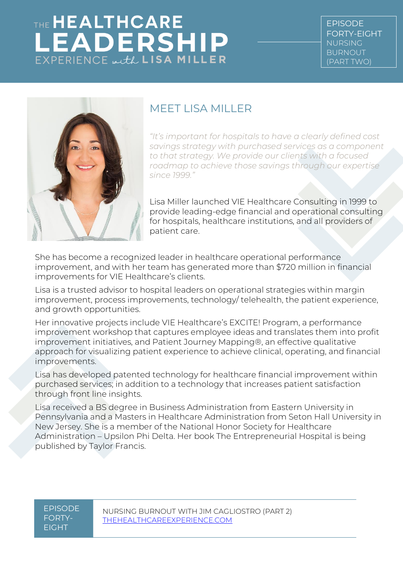

### MEET LISA MILLER

*"It's important for hospitals to have a clearly defined cost savings strategy with purchased services as a component to that strategy. We provide our clients with a focused roadmap to achieve those savings through our expertise since 1999."*

Lisa Miller launched VIE Healthcare Consulting in 1999 to provide leading-edge financial and operational consulting for hospitals, healthcare institutions, and all providers of patient care.

She has become a recognized leader in healthcare operational performance improvement, and with her team has generated more than \$720 million in financial improvements for VIE Healthcare's clients.

Lisa is a trusted advisor to hospital leaders on operational strategies within margin improvement, process improvements, technology/ telehealth, the patient experience, and growth opportunities.

Her innovative projects include VIE Healthcare's EXCITE! Program, a performance improvement workshop that captures employee ideas and translates them into profit improvement initiatives, and Patient Journey Mapping®, an effective qualitative approach for visualizing patient experience to achieve clinical, operating, and financial improvements.

Lisa has developed patented technology for healthcare financial improvement within purchased services; in addition to a technology that increases patient satisfaction through front line insights.

Lisa received a BS degree in Business Administration from Eastern University in Pennsylvania and a Masters in Healthcare Administration from Seton Hall University in New Jersey. She is a member of the National Honor Society for Healthcare Administration – Upsilon Phi Delta. Her book The Entrepreneurial Hospital is being published by Taylor Francis.